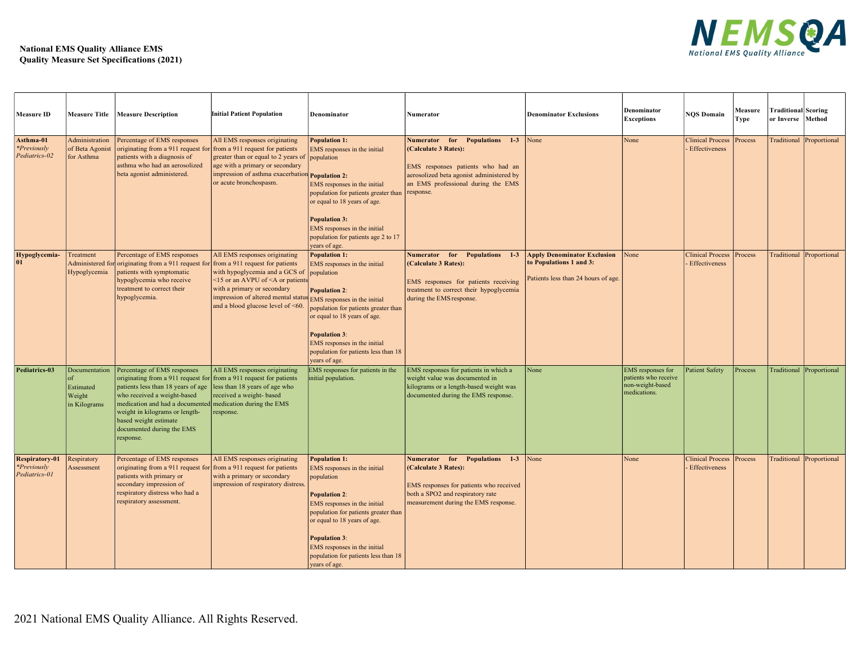## National EMS Quality Alliance EMS<br>Quality Measure Set Specifications (2021)



|                                                              | <b>National EMS Quality Alliance EMS</b>        | <b>Quality Measure Set Specifications (2021)</b>                                                                                                                                                                                                                                                                                                                                       |                                                                                                                                                                                                                                                                       |                                                                                                                                                                                                                                                                                                                    |                                                                                                                                                                                                       |                                                                |                                                                               | <b>NEMSQA</b><br><b>National EMS Quality Allian</b>     |                 |                                                 |                          |
|--------------------------------------------------------------|-------------------------------------------------|----------------------------------------------------------------------------------------------------------------------------------------------------------------------------------------------------------------------------------------------------------------------------------------------------------------------------------------------------------------------------------------|-----------------------------------------------------------------------------------------------------------------------------------------------------------------------------------------------------------------------------------------------------------------------|--------------------------------------------------------------------------------------------------------------------------------------------------------------------------------------------------------------------------------------------------------------------------------------------------------------------|-------------------------------------------------------------------------------------------------------------------------------------------------------------------------------------------------------|----------------------------------------------------------------|-------------------------------------------------------------------------------|---------------------------------------------------------|-----------------|-------------------------------------------------|--------------------------|
| <b>Measure ID</b>                                            |                                                 | Measure Title   Measure Description                                                                                                                                                                                                                                                                                                                                                    | <b>Initial Patient Population</b>                                                                                                                                                                                                                                     | Denominator                                                                                                                                                                                                                                                                                                        | Numerator                                                                                                                                                                                             | <b>Denominator Exclusions</b>                                  | Denominator<br><b>Exceptions</b>                                              | <b>NQS Domain</b>                                       | Measure<br>Type | <b>Traditional Scoring</b><br>or Inverse Method |                          |
| Asthma-01<br><i>*Previously</i><br>Pediatrics-02             | Administration<br>of Beta Agonist<br>for Asthma | Percentage of EMS responses<br>originating from a 911 request for from a 911 request for patients<br>patients with a diagnosis of<br>asthma who had an aerosolized<br>beta agonist administered.                                                                                                                                                                                       | All EMS responses originating<br>greater than or equal to 2 years of population<br>age with a primary or secondary<br>impression of asthma exacerbation <b>Population 2:</b><br>or acute bronchospasm.                                                                | Population 1:<br>MS responses in the initial<br>EMS responses in the initial<br>population for patients greater than<br>or equal to 18 years of age.<br><b>Population 3:</b><br>EMS responses in the initial<br>population for patients age 2 to 17<br>years of age.                                               | Numerator for Populations 1-3 None<br>(Calculate 3 Rates):<br>EMS responses patients who had an<br>aerosolized beta agonist administered by<br>an EMS professional during the EMS<br>response.        |                                                                | None                                                                          | Clinical Process   Process<br><b>Effectiveness</b>      |                 | Traditional Proportional                        |                          |
| Hypoglycemia- Treatment                                      | Hypoglycemia                                    | Percentage of EMS responses<br>Administered for originating from a 911 request for from a 911 request for patients<br>patients with symptomatic<br>hypoglycemia who receive<br>treatment to correct their<br>hypoglycemia.                                                                                                                                                             | All EMS responses originating<br>with hypoglycemia and a GCS of population<br><15 or an AVPU of <a or="" patients<br="">with a primary or secondary<br/>impression of altered mental status EMS responses in the initial<br/>and a blood glucose level of &lt;60.</a> | Population 1:<br>EMS responses in the initial<br><b>Population 2:</b><br>population for patients greater than<br>or equal to 18 years of age.<br><b>Population 3:</b><br>EMS responses in the initial<br>population for patients less than 18<br>years of age.                                                     | Numerator for Populations 1-3 Apply Denominator Exclusion None<br>(Calculate 3 Rates):<br>EMS responses for patients receiving<br>treatment to correct their hypoglycemia<br>during the EMS response. | to Populations 1 and 3:<br>Patients less than 24 hours of age. |                                                                               | Clinical Process   Process<br><b>Effectiveness</b>      |                 | Traditional Proportional                        |                          |
| Pediatrics-03                                                | Estimated<br>Weight<br>in Kilograms             | Documentation   Percentage of EMS responses<br>originating from a 911 request for from a 911 request for patients<br>patients less than 18 years of age less than 18 years of age who<br>who received a weight-based<br>medication and had a documented medication during the EMS<br>weight in kilograms or length-<br>based weight estimate<br>documented during the EMS<br>response. | All EMS responses originating<br>received a weight- based<br>response.                                                                                                                                                                                                | EMS responses for patients in the<br>initial population.                                                                                                                                                                                                                                                           | EMS responses for patients in which a<br>weight value was documented in<br>kilograms or a length-based weight was<br>documented during the EMS response.                                              | $\sqrt{\frac{1}{2}}$                                           | EMS responses for<br>patients who receive<br>non-weight-based<br>medications. | Patient Safety                                          | Process         |                                                 | Traditional Proportional |
| <b>Respiratory-01</b><br><i>*Previously</i><br>Pediatrics-01 | Respiratory<br>Assessment                       | Percentage of EMS responses<br>originating from a 911 request for from a 911 request for patients<br>patients with primary or<br>secondary impression of<br>respiratory distress who had a<br>respiratory assessment.                                                                                                                                                                  | All EMS responses originating<br>with a primary or secondary<br>mpression of respiratory distress.                                                                                                                                                                    | <b>Population 1:</b><br>MS responses in the initial<br>population<br><b>Population 2:</b><br>EMS responses in the initial<br>population for patients greater than<br>or equal to 18 years of age.<br><b>Population 3:</b><br>EMS responses in the initial<br>population for patients less than 18<br>years of age. | Numerator for Populations 1-3 None<br>(Calculate 3 Rates):<br>EMS responses for patients who received<br>both a SPO2 and respiratory rate<br>measurement during the EMS response.                     |                                                                | None                                                                          | <b>Clinical Process Process</b><br><b>Effectiveness</b> |                 | Traditional Proportional                        |                          |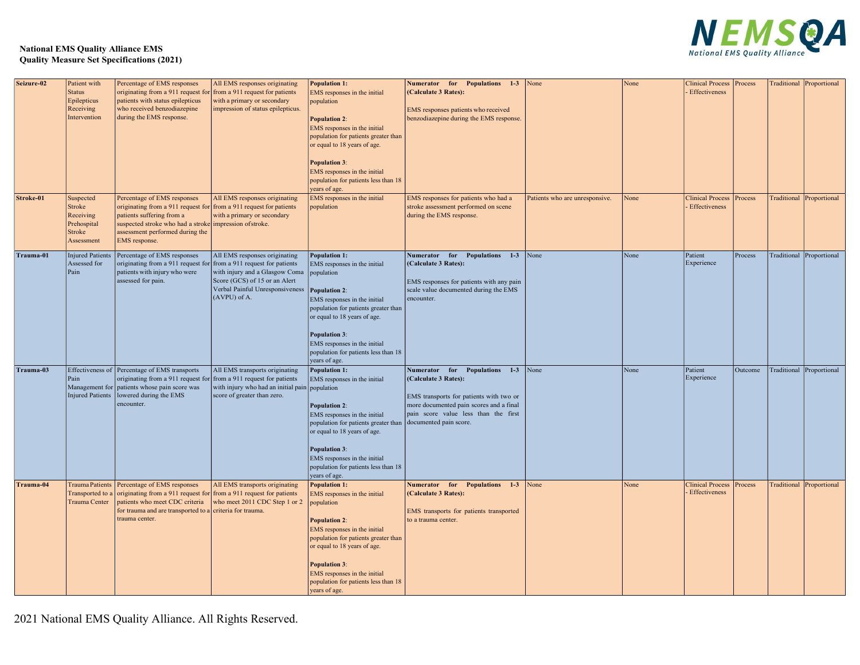

## National EMS Quality Alliance EMS<br>Quality Measure Set Specifications (2021)

|            | <b>National EMS Quality Alliance EMS</b>                                  | <b>Quality Measure Set Specifications (2021)</b>                                                                                                                                                                                              |                                                                                                                                                                                                                   |                                                                                                                                                                                                                                                                                                                       |                                                                                                                                                                                                 |                                |      | <b>NEWSOL</b>                                      |         |                                  |  |
|------------|---------------------------------------------------------------------------|-----------------------------------------------------------------------------------------------------------------------------------------------------------------------------------------------------------------------------------------------|-------------------------------------------------------------------------------------------------------------------------------------------------------------------------------------------------------------------|-----------------------------------------------------------------------------------------------------------------------------------------------------------------------------------------------------------------------------------------------------------------------------------------------------------------------|-------------------------------------------------------------------------------------------------------------------------------------------------------------------------------------------------|--------------------------------|------|----------------------------------------------------|---------|----------------------------------|--|
| Seizure-02 | Patient with<br><b>Status</b><br>Epilepticus<br>Receiving<br>Intervention | Percentage of EMS responses<br>originating from a 911 request for from a 911 request for patients<br>patients with status epilepticus<br>who received benzodiazepine<br>during the EMS response.                                              | All EMS responses originating<br>with a primary or secondary<br>mpression of status epilepticus.                                                                                                                  | <b>Population 1:</b><br>EMS responses in the initial<br>population<br><b>Population 2:</b><br>EMS responses in the initial<br>population for patients greater than<br>or equal to 18 years of age.                                                                                                                    | Numerator for Populations 1-3 None<br>(Calculate 3 Rates):<br>EMS responses patients who received<br>benzodiazepine during the EMS response.                                                    |                                | None | Clinical Process   Process<br><b>Effectiveness</b> |         | Traditional Proportional         |  |
|            |                                                                           |                                                                                                                                                                                                                                               |                                                                                                                                                                                                                   | <b>Population 3:</b><br>EMS responses in the initial<br>population for patients less than 18<br>years of age.                                                                                                                                                                                                         |                                                                                                                                                                                                 |                                |      |                                                    |         |                                  |  |
| Stroke-01  | Suspected<br>Stroke<br>Receiving<br>Prehospital<br>Stroke<br>Assessment   | Percentage of EMS responses<br>originating from a 911 request for from a 911 request for patients<br>patients suffering from a<br>suspected stroke who had a stroke impression of stroke.<br>assessment performed during the<br>EMS response. | All EMS responses originating<br>with a primary or secondary                                                                                                                                                      | EMS responses in the initial<br>opulation                                                                                                                                                                                                                                                                             | EMS responses for patients who had a<br>stroke assessment performed on scene<br>during the EMS response.                                                                                        | Patients who are unresponsive. | None | Clinical Process Process<br>Effectiveness          |         | Traditional Proportional         |  |
| Trauma-01  | Assessed for<br>Pain                                                      | Injured Patients   Percentage of EMS responses<br>originating from a 911 request fo<br>patients with injury who were<br>assessed for pain.                                                                                                    | All EMS responses originating<br>from a 911 request for patients<br>with injury and a Glasgow Coma population<br>Score (GCS) of 15 or an Alert<br>Verbal Painful Unresponsiveness Population 2:<br>$(AVPU)$ of A. | Population 1:<br>EMS responses in the initial<br>EMS responses in the initial<br>population for patients greater than<br>or equal to 18 years of age.<br><b>Population 3:</b><br>EMS responses in the initial<br>population for patients less than 18                                                                 | Numerator for Populations 1-3 None<br>$ $ (Calculate 3 Rates):<br>EMS responses for patients with any pain<br>scale value documented during the EMS<br>encounter.                               |                                | None | Patient<br>Experience                              | Process | Traditional Proportional         |  |
| Trauma-03  | Pain                                                                      | Effectiveness of Percentage of EMS transports<br>originating from a 911 request for from a 911 request for patients<br>Management for patients whose pain score was<br>Injured Patients  lowered during the EMS<br>encounter.                 | All EMS transports originating<br>with injury who had an initial pain population<br>score of greater than zero.                                                                                                   | years of age.<br>Population 1:<br>EMS responses in the initial<br><b>Population 2:</b><br>EMS responses in the initial<br>population for patients greater than documented pain score.<br>or equal to 18 years of age.<br><b>Population 3:</b><br>EMS responses in the initial<br>population for patients less than 18 | Numerator for Populations 1-3 None<br><b>(Calculate 3 Rates):</b><br>EMS transports for patients with two or<br>more documented pain scores and a final<br>pain score value less than the first |                                | None | Patient<br>Experience                              |         | Outcome Traditional Proportional |  |
| Trauma-04  | Trauma Center                                                             | Trauma Patients Percentage of EMS responses<br>Transported to a originating from a 911 request for from a 911 request for patients<br>patients who meet CDC criteria<br>for trauma and are transported to a criteria for trauma.              | All EMS transports originating<br>who meet 2011 CDC Step 1 or 2 population                                                                                                                                        | years of age.<br><b>Population 1:</b><br>EMS responses in the initial                                                                                                                                                                                                                                                 | Numerator for Populations 1-3 None<br>(Calculate 3 Rates):<br>EMS transports for patients transported                                                                                           |                                | None | <b>Clinical Process</b><br>Effectiveness           | Process | Traditional Proportional         |  |